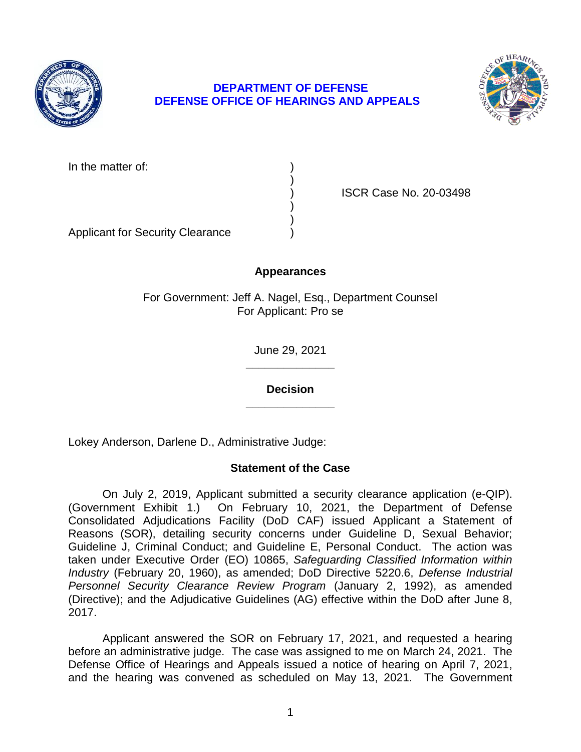

# **DEPARTMENT OF DEFENSE DEFENSE OFFICE OF HEARINGS AND APPEALS**



In the matter of:

) ISCR Case No. 20-03498

Applicant for Security Clearance )

# **Appearances**

)

) )

For Government: Jeff A. Nagel, Esq., Department Counsel For Applicant: Pro se

> **\_\_\_\_\_\_\_\_\_\_\_\_\_\_**  June 29, 2021

> **\_\_\_\_\_\_\_\_\_\_\_\_\_\_ Decision**

Lokey Anderson, Darlene D., Administrative Judge:

# **Statement of the Case**

 On July 2, 2019, Applicant submitted a security clearance application (e-QIP). (Government Exhibit 1.) On February 10, 2021, the Department of Defense Consolidated Adjudications Facility (DoD CAF) issued Applicant a Statement of Reasons (SOR), detailing security concerns under Guideline D, Sexual Behavior; Guideline J, Criminal Conduct; and Guideline E, Personal Conduct. The action was taken under Executive Order (EO) 10865, *Safeguarding Classified Information within Industry* (February 20, 1960), as amended; DoD Directive 5220.6, *Defense Industrial*  Personnel Security Clearance Review Program (January 2, 1992), as amended (Directive); and the Adjudicative Guidelines (AG) effective within the DoD after June 8, 2017.

 Applicant answered the SOR on February 17, 2021, and requested a hearing before an administrative judge. The case was assigned to me on March 24, 2021. The Defense Office of Hearings and Appeals issued a notice of hearing on April 7, 2021, and the hearing was convened as scheduled on May 13, 2021. The Government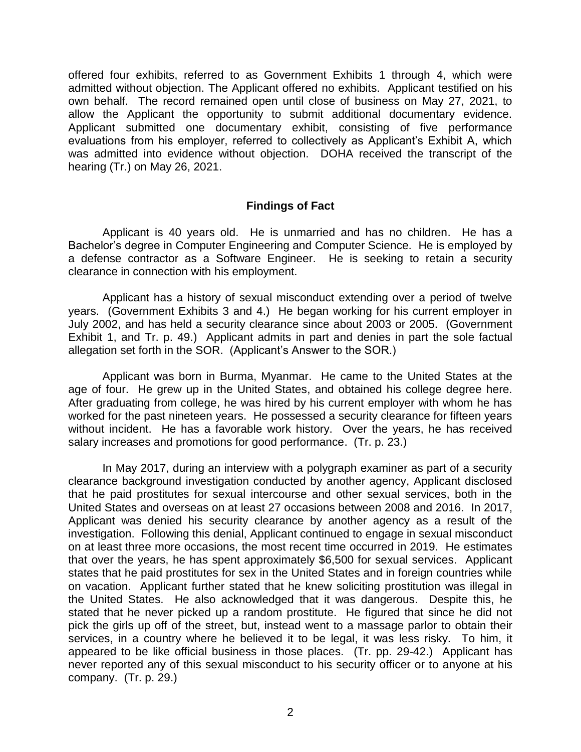offered four exhibits, referred to as Government Exhibits 1 through 4, which were admitted without objection. The Applicant offered no exhibits. Applicant testified on his own behalf. The record remained open until close of business on May 27, 2021, to allow the Applicant the opportunity to submit additional documentary evidence. Applicant submitted one documentary exhibit, consisting of five performance evaluations from his employer, referred to collectively as Applicant's Exhibit A, which was admitted into evidence without objection. DOHA received the transcript of the hearing (Tr.) on May 26, 2021.

#### **Findings of Fact**

 Applicant is 40 years old. He is unmarried and has no children. He has a Bachelor's degree in Computer Engineering and Computer Science. He is employed by a defense contractor as a Software Engineer. He is seeking to retain a security clearance in connection with his employment.

clearance in connection with his employment.<br>Applicant has a history of sexual misconduct extending over a period of twelve years. (Government Exhibits 3 and 4.) He began working for his current employer in July 2002, and has held a security clearance since about 2003 or 2005. (Government Exhibit 1, and Tr. p. 49.) Applicant admits in part and denies in part the sole factual allegation set forth in the SOR. (Applicant's Answer to the SOR.)

 Applicant was born in Burma, Myanmar. He came to the United States at the age of four. He grew up in the United States, and obtained his college degree here. After graduating from college, he was hired by his current employer with whom he has worked for the past nineteen years. He possessed a security clearance for fifteen years without incident. He has a favorable work history. Over the years, he has received salary increases and promotions for good performance. (Tr. p. 23.)

 In May 2017, during an interview with a polygraph examiner as part of a security clearance background investigation conducted by another agency, Applicant disclosed that he paid prostitutes for sexual intercourse and other sexual services, both in the United States and overseas on at least 27 occasions between 2008 and 2016. In 2017, Applicant was denied his security clearance by another agency as a result of the on at least three more occasions, the most recent time occurred in 2019. He estimates that over the years, he has spent approximately \$6,500 for sexual services. Applicant states that he paid prostitutes for sex in the United States and in foreign countries while on vacation. Applicant further stated that he knew soliciting prostitution was illegal in the United States. He also acknowledged that it was dangerous. Despite this, he stated that he never picked up a random prostitute. He figured that since he did not pick the girls up off of the street, but, instead went to a massage parlor to obtain their services, in a country where he believed it to be legal, it was less risky. To him, it appeared to be like official business in those places. (Tr. pp. 29-42.) Applicant has never reported any of this sexual misconduct to his security officer or to anyone at his company. (Tr. p. 29.) investigation. Following this denial, Applicant continued to engage in sexual misconduct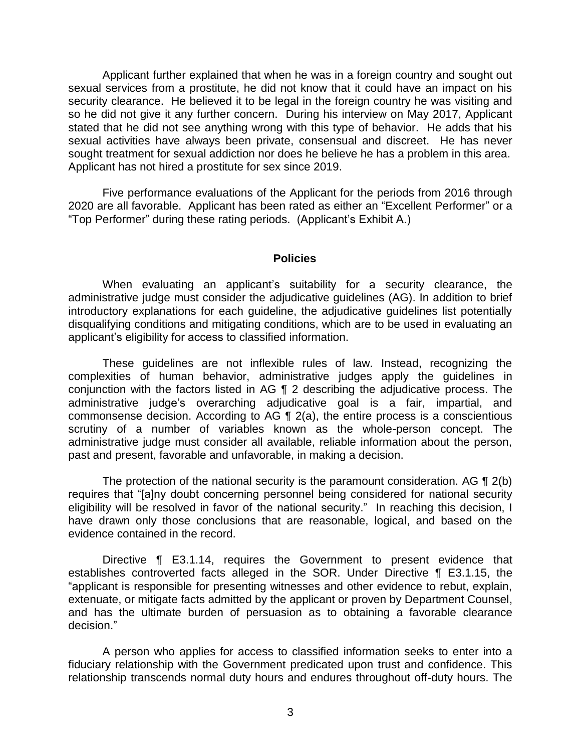Applicant further explained that when he was in a foreign country and sought out sexual services from a prostitute, he did not know that it could have an impact on his security clearance. He believed it to be legal in the foreign country he was visiting and so he did not give it any further concern. During his interview on May 2017, Applicant stated that he did not see anything wrong with this type of behavior. He adds that his sexual activities have always been private, consensual and discreet. He has never sought treatment for sexual addiction nor does he believe he has a problem in this area. Applicant has not hired a prostitute for sex since 2019.

 Five performance evaluations of the Applicant for the periods from 2016 through 2020 are all favorable. Applicant has been rated as either an "Excellent Performer" or a "Top Performer" during these rating periods. (Applicant's Exhibit A.)

#### **Policies**

 When evaluating an applicant's suitability for a security clearance, the administrative judge must consider the adjudicative guidelines (AG). In addition to brief introductory explanations for each guideline, the adjudicative guidelines list potentially disqualifying conditions and mitigating conditions, which are to be used in evaluating an applicant's eligibility for access to classified information.

 These guidelines are not inflexible rules of law. Instead, recognizing the complexities of human behavior, administrative judges apply the guidelines in conjunction with the factors listed in AG ¶ 2 describing the adjudicative process. The commonsense decision. According to AG  $\P$  2(a), the entire process is a conscientious scrutiny of a number of variables known as the whole-person concept. The administrative judge must consider all available, reliable information about the person, administrative judge's overarching adjudicative goal is a fair, impartial, and past and present, favorable and unfavorable, in making a decision.

The protection of the national security is the paramount consideration. AG  $\P$  2(b) eligibility will be resolved in favor of the national security." In reaching this decision, I have drawn only those conclusions that are reasonable, logical, and based on the requires that "[a]ny doubt concerning personnel being considered for national security evidence contained in the record.

 Directive ¶ E3.1.14, requires the Government to present evidence that establishes controverted facts alleged in the SOR. Under Directive ¶ E3.1.15, the "applicant is responsible for presenting witnesses and other evidence to rebut, explain, and has the ultimate burden of persuasion as to obtaining a favorable clearance extenuate, or mitigate facts admitted by the applicant or proven by Department Counsel, decision."

 A person who applies for access to classified information seeks to enter into a fiduciary relationship with the Government predicated upon trust and confidence. This relationship transcends normal duty hours and endures throughout off-duty hours. The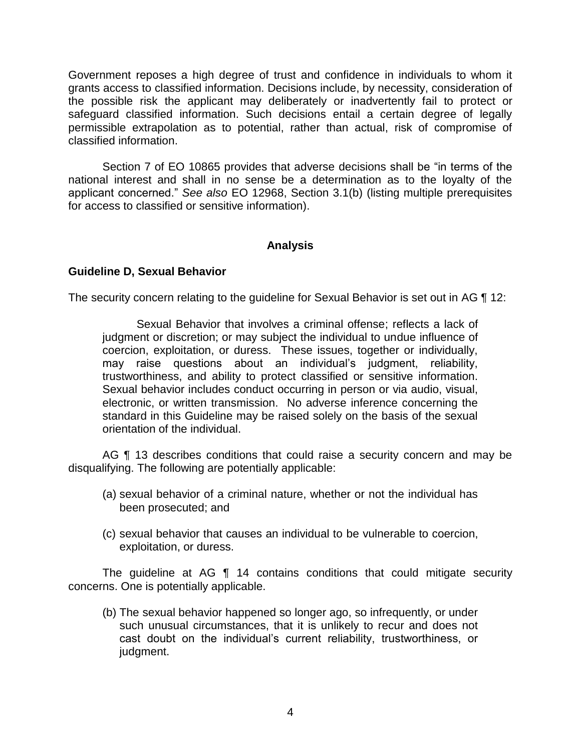Government reposes a high degree of trust and confidence in individuals to whom it grants access to classified information. Decisions include, by necessity, consideration of the possible risk the applicant may deliberately or inadvertently fail to protect or safeguard classified information. Such decisions entail a certain degree of legally permissible extrapolation as to potential, rather than actual, risk of compromise of classified information.

 Section 7 of EO 10865 provides that adverse decisions shall be "in terms of the national interest and shall in no sense be a determination as to the loyalty of the applicant concerned." *See also* EO 12968, Section 3.1(b) (listing multiple prerequisites for access to classified or sensitive information).

#### **Analysis**

#### **Guideline D, Sexual Behavior**

The security concern relating to the guideline for Sexual Behavior is set out in AG ¶ 12:

Sexual Behavior that involves a criminal offense; reflects a lack of judgment or discretion; or may subject the individual to undue influence of coercion, exploitation, or duress. These issues, together or individually, may raise questions about an individual's judgment, reliability, trustworthiness, and ability to protect classified or sensitive information. Sexual behavior includes conduct occurring in person or via audio, visual, electronic, or written transmission. No adverse inference concerning the standard in this Guideline may be raised solely on the basis of the sexual orientation of the individual.

AG ¶ 13 describes conditions that could raise a security concern and may be disqualifying. The following are potentially applicable:

- (a) sexual behavior of a criminal nature, whether or not the individual has been prosecuted; and
- (c) sexual behavior that causes an individual to be vulnerable to coercion, exploitation, or duress.

 The guideline at AG ¶ 14 contains conditions that could mitigate security concerns. One is potentially applicable.

(b) The sexual behavior happened so longer ago, so infrequently, or under such unusual circumstances, that it is unlikely to recur and does not cast doubt on the individual's current reliability, trustworthiness, or judgment.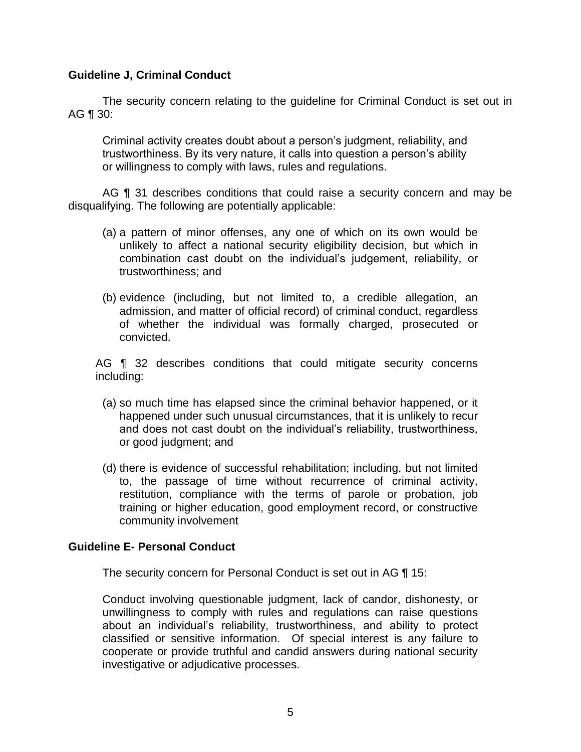#### **Guideline J, Criminal Conduct**

 The security concern relating to the guideline for Criminal Conduct is set out in AG ¶ 30:

Criminal activity creates doubt about a person's judgment, reliability, and trustworthiness. By its very nature, it calls into question a person's ability or willingness to comply with laws, rules and regulations.

AG ¶ 31 describes conditions that could raise a security concern and may be disqualifying. The following are potentially applicable:

- (a) a pattern of minor offenses, any one of which on its own would be unlikely to affect a national security eligibility decision, but which in combination cast doubt on the individual's judgement, reliability, or trustworthiness; and
- (b) evidence (including, but not limited to, a credible allegation, an admission, and matter of official record) of criminal conduct, regardless of whether the individual was formally charged, prosecuted or convicted.

AG **[1** 32 describes conditions that could mitigate security concerns including:

- (a) so much time has elapsed since the criminal behavior happened, or it happened under such unusual circumstances, that it is unlikely to recur and does not cast doubt on the individual's reliability, trustworthiness, or good judgment; and
- (d) there is evidence of successful rehabilitation; including, but not limited to, the passage of time without recurrence of criminal activity, restitution, compliance with the terms of parole or probation, job training or higher education, good employment record, or constructive community involvement

#### **Guideline E- Personal Conduct**

The security concern for Personal Conduct is set out in AG ¶ 15:

Conduct involving questionable judgment, lack of candor, dishonesty, or unwillingness to comply with rules and regulations can raise questions about an individual's reliability, trustworthiness, and ability to protect classified or sensitive information. Of special interest is any failure to cooperate or provide truthful and candid answers during national security investigative or adjudicative processes.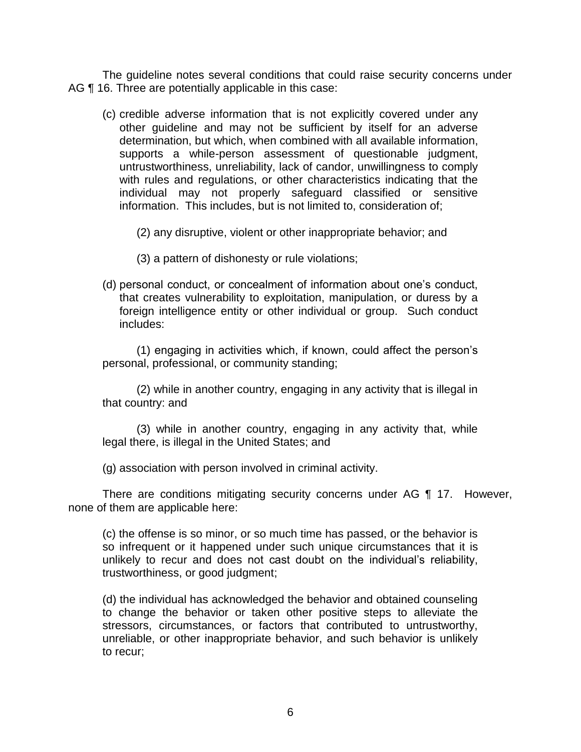The guideline notes several conditions that could raise security concerns under AG ¶ 16. Three are potentially applicable in this case:

(c) credible adverse information that is not explicitly covered under any other guideline and may not be sufficient by itself for an adverse determination, but which, when combined with all available information, supports a while-person assessment of questionable judgment, untrustworthiness, unreliability, lack of candor, unwillingness to comply with rules and regulations, or other characteristics indicating that the individual may not properly safeguard classified or sensitive information. This includes, but is not limited to, consideration of;

(2) any disruptive, violent or other inappropriate behavior; and

- (3) a pattern of dishonesty or rule violations;
- (d) personal conduct, or concealment of information about one's conduct, that creates vulnerability to exploitation, manipulation, or duress by a foreign intelligence entity or other individual or group. Such conduct includes:

(1) engaging in activities which, if known, could affect the person's personal, professional, or community standing;

(2) while in another country, engaging in any activity that is illegal in that country: and

(3) while in another country, engaging in any activity that, while legal there, is illegal in the United States; and

(g) association with person involved in criminal activity.

There are conditions mitigating security concerns under AG ¶ 17. However, none of them are applicable here:

(c) the offense is so minor, or so much time has passed, or the behavior is so infrequent or it happened under such unique circumstances that it is unlikely to recur and does not cast doubt on the individual's reliability, trustworthiness, or good judgment;

(d) the individual has acknowledged the behavior and obtained counseling to change the behavior or taken other positive steps to alleviate the stressors, circumstances, or factors that contributed to untrustworthy, unreliable, or other inappropriate behavior, and such behavior is unlikely to recur;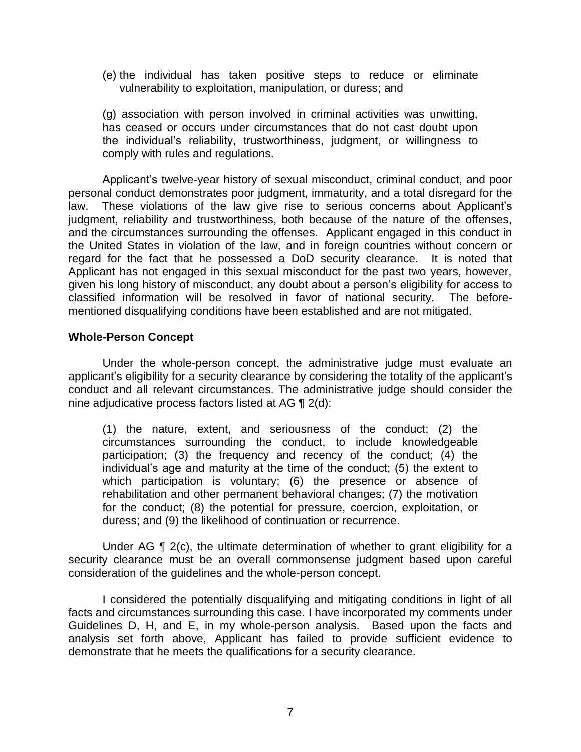(e) the individual has taken positive steps to reduce or eliminate vulnerability to exploitation, manipulation, or duress; and

(g) association with person involved in criminal activities was unwitting, has ceased or occurs under circumstances that do not cast doubt upon the individual's reliability, trustworthiness, judgment, or willingness to comply with rules and regulations.

 Applicant's twelve-year history of sexual misconduct, criminal conduct, and poor personal conduct demonstrates poor judgment, immaturity, and a total disregard for the judgment, reliability and trustworthiness, both because of the nature of the offenses, and the circumstances surrounding the offenses. Applicant engaged in this conduct in the United States in violation of the law, and in foreign countries without concern or regard for the fact that he possessed a DoD security clearance. It is noted that Applicant has not engaged in this sexual misconduct for the past two years, however, given his long history of misconduct, any doubt about a person's eligibility for access to classified information will be resolved in favor of national security. The beforelaw. These violations of the law give rise to serious concerns about Applicant's mentioned disqualifying conditions have been established and are not mitigated.

#### **Whole-Person Concept**

 Under the whole-person concept, the administrative judge must evaluate an applicant's eligibility for a security clearance by considering the totality of the applicant's conduct and all relevant circumstances. The administrative judge should consider the nine adjudicative process factors listed at AG ¶ 2(d):

(1) the nature, extent, and seriousness of the conduct; (2) the circumstances surrounding the conduct, to include knowledgeable participation; (3) the frequency and recency of the conduct; (4) the individual's age and maturity at the time of the conduct; (5) the extent to which participation is voluntary; (6) the presence or absence of rehabilitation and other permanent behavioral changes; (7) the motivation for the conduct; (8) the potential for pressure, coercion, exploitation, or duress; and (9) the likelihood of continuation or recurrence.

Under AG  $\P$  2(c), the ultimate determination of whether to grant eligibility for a security clearance must be an overall commonsense judgment based upon careful consideration of the guidelines and the whole-person concept.

 I considered the potentially disqualifying and mitigating conditions in light of all facts and circumstances surrounding this case. I have incorporated my comments under Guidelines D, H, and E, in my whole-person analysis. Based upon the facts and analysis set forth above, Applicant has failed to provide sufficient evidence to demonstrate that he meets the qualifications for a security clearance.